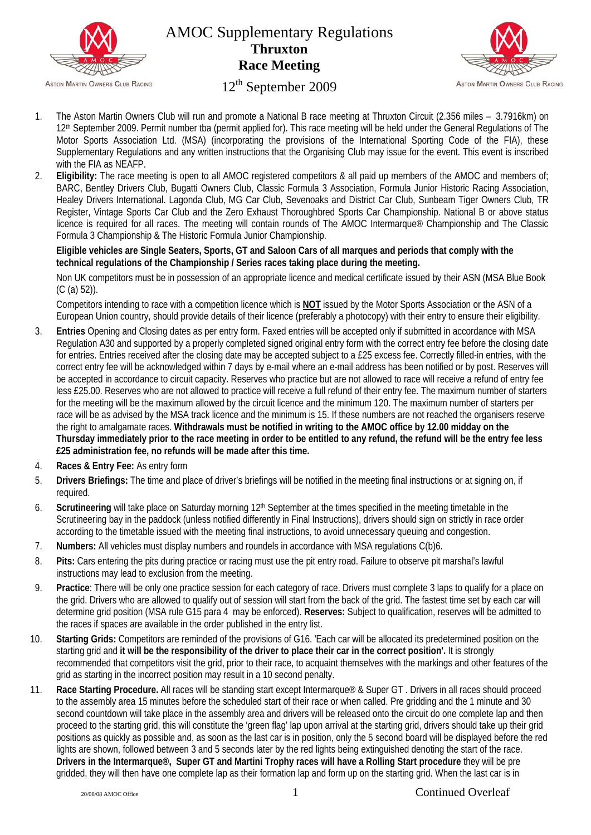

## AMOC Supplementary Regulations **Thruxton Race Meeting**



## 12<sup>th</sup> September 2009

- 1. The Aston Martin Owners Club will run and promote a National B race meeting at Thruxton Circuit (2.356 miles 3.7916km) on 12th September 2009. Permit number tba (permit applied for). This race meeting will be held under the General Regulations of The Motor Sports Association Ltd. (MSA) (incorporating the provisions of the International Sporting Code of the FIA), these Supplementary Regulations and any written instructions that the Organising Club may issue for the event. This event is inscribed with the FIA as NEAFP.
- 2. **Eligibility:** The race meeting is open to all AMOC registered competitors & all paid up members of the AMOC and members of; BARC, Bentley Drivers Club, Bugatti Owners Club, Classic Formula 3 Association, Formula Junior Historic Racing Association, Healey Drivers International. Lagonda Club, MG Car Club, Sevenoaks and District Car Club, Sunbeam Tiger Owners Club, TR Register, Vintage Sports Car Club and the Zero Exhaust Thoroughbred Sports Car Championship. National B or above status licence is required for all races. The meeting will contain rounds of The AMOC Intermarque® Championship and The Classic Formula 3 Championship & The Historic Formula Junior Championship.

## **Eligible vehicles are Single Seaters, Sports, GT and Saloon Cars of all marques and periods that comply with the technical regulations of the Championship / Series races taking place during the meeting.**

Non UK competitors must be in possession of an appropriate licence and medical certificate issued by their ASN (MSA Blue Book (C (a) 52)).

Competitors intending to race with a competition licence which is **NOT** issued by the Motor Sports Association or the ASN of a European Union country, should provide details of their licence (preferably a photocopy) with their entry to ensure their eligibility.

- 3. **Entries** Opening and Closing dates as per entry form. Faxed entries will be accepted only if submitted in accordance with MSA Regulation A30 and supported by a properly completed signed original entry form with the correct entry fee before the closing date for entries. Entries received after the closing date may be accepted subject to a £25 excess fee. Correctly filled-in entries, with the correct entry fee will be acknowledged within 7 days by e-mail where an e-mail address has been notified or by post. Reserves will be accepted in accordance to circuit capacity. Reserves who practice but are not allowed to race will receive a refund of entry fee less £25.00. Reserves who are not allowed to practice will receive a full refund of their entry fee. The maximum number of starters for the meeting will be the maximum allowed by the circuit licence and the minimum 120. The maximum number of starters per race will be as advised by the MSA track licence and the minimum is 15. If these numbers are not reached the organisers reserve the right to amalgamate races. **Withdrawals must be notified in writing to the AMOC office by 12.00 midday on the Thursday immediately prior to the race meeting in order to be entitled to any refund, the refund will be the entry fee less £25 administration fee, no refunds will be made after this time.**
- 4. **Races & Entry Fee:** As entry form
- 5. **Drivers Briefings:** The time and place of driver's briefings will be notified in the meeting final instructions or at signing on, if required.
- 6. **Scrutineering** will take place on Saturday morning 12th September at the times specified in the meeting timetable in the Scrutineering bay in the paddock (unless notified differently in Final Instructions), drivers should sign on strictly in race order according to the timetable issued with the meeting final instructions, to avoid unnecessary queuing and congestion.
- 7. **Numbers:** All vehicles must display numbers and roundels in accordance with MSA regulations C(b)6.
- 8. **Pits:** Cars entering the pits during practice or racing must use the pit entry road. Failure to observe pit marshal's lawful instructions may lead to exclusion from the meeting.
- 9. **Practice**: There will be only one practice session for each category of race. Drivers must complete 3 laps to qualify for a place on the grid. Drivers who are allowed to qualify out of session will start from the back of the grid. The fastest time set by each car will determine grid position (MSA rule G15 para 4 may be enforced). **Reserves:** Subject to qualification, reserves will be admitted to the races if spaces are available in the order published in the entry list.
- 10. **Starting Grids:** Competitors are reminded of the provisions of G16. 'Each car will be allocated its predetermined position on the starting grid and **it will be the responsibility of the driver to place their car in the correct position'.** It is strongly recommended that competitors visit the grid, prior to their race, to acquaint themselves with the markings and other features of the grid as starting in the incorrect position may result in a 10 second penalty.
- 11. **Race Starting Procedure.** All races will be standing start except Intermarque® & Super GT . Drivers in all races should proceed to the assembly area 15 minutes before the scheduled start of their race or when called. Pre gridding and the 1 minute and 30 second countdown will take place in the assembly area and drivers will be released onto the circuit do one complete lap and then proceed to the starting grid, this will constitute the 'green flag' lap upon arrival at the starting grid, drivers should take up their grid positions as quickly as possible and, as soon as the last car is in position, only the 5 second board will be displayed before the red lights are shown, followed between 3 and 5 seconds later by the red lights being extinguished denoting the start of the race. **Drivers in the Intermarque®, Super GT and Martini Trophy races will have a Rolling Start procedure** they will be pre gridded, they will then have one complete lap as their formation lap and form up on the starting grid. When the last car is in